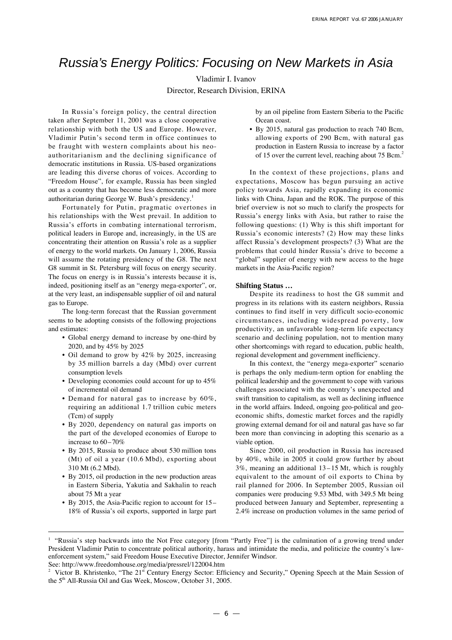# Russia's Energy Politics: Focusing on New Markets in Asia

Vladimir I. Ivanov Director, Research Division, ERINA

In Russia's foreign policy, the central direction taken after September 11, 2001 was a close cooperative relationship with both the US and Europe. However, Vladimir Putin's second term in office continues to be fraught with western complaints about his neoauthoritarianism and the declining significance of democratic institutions in Russia. US-based organizations are leading this diverse chorus of voices. According to "Freedom House", for example, Russia has been singled out as a country that has become less democratic and more authoritarian during George W. Bush's presidency.<sup>1</sup>

Fortunately for Putin, pragmatic overtones in his relationships with the West prevail. In addition to Russia's efforts in combating international terrorism, political leaders in Europe and, increasingly, in the US are concentrating their attention on Russia's role as a supplier of energy to the world markets. On January 1, 2006, Russia will assume the rotating presidency of the G8. The next G8 summit in St. Petersburg will focus on energy security. The focus on energy is in Russia's interests because it is, indeed, positioning itself as an "energy mega-exporter", or, at the very least, an indispensable supplier of oil and natural gas to Europe.

The long-term forecast that the Russian government seems to be adopting consists of the following projections and estimates:

- Global energy demand to increase by one-third by 2020, and by 45% by 2025
- Oil demand to grow by 42% by 2025, increasing by 35 million barrels a day (Mbd) over current consumption levels
- Developing economies could account for up to 45% of incremental oil demand
- Demand for natural gas to increase by 60%, requiring an additional 1.7 trillion cubic meters (Tcm) of supply
- By 2020, dependency on natural gas imports on the part of the developed economies of Europe to increase to 60–70%
- By 2015, Russia to produce about 530 million tons (Mt) of oil a year (10.6 Mbd), exporting about 310 Mt (6.2 Mbd).
- By 2015, oil production in the new production areas in Eastern Siberia, Yakutia and Sakhalin to reach about 75 Mt a year
- By 2015, the Asia-Pacific region to account for  $15-$ 18% of Russia's oil exports, supported in large part

by an oil pipeline from Eastern Siberia to the Pacific Ocean coast.

• By 2015, natural gas production to reach 740 Bcm, allowing exports of 290 Bcm, with natural gas production in Eastern Russia to increase by a factor of 15 over the current level, reaching about 75 Bcm.<sup>2</sup>

In the context of these projections, plans and expectations, Moscow has begun pursuing an active policy towards Asia, rapidly expanding its economic links with China, Japan and the ROK. The purpose of this brief overview is not so much to clarify the prospects for Russia's energy links with Asia, but rather to raise the following questions: (1) Why is this shift important for Russia's economic interests? (2) How may these links affect Russia's development prospects? (3) What are the problems that could hinder Russia's drive to become a "global" supplier of energy with new access to the huge markets in the Asia-Pacific region?

#### **Shifting Status …**

Despite its readiness to host the G8 summit and progress in its relations with its eastern neighbors, Russia continues to find itself in very difficult socio-economic circumstances, including widespread poverty, low productivity, an unfavorable long-term life expectancy scenario and declining population, not to mention many other shortcomings with regard to education, public health, regional development and government inefficiency.

In this context, the "energy mega-exporter" scenario is perhaps the only medium-term option for enabling the political leadership and the government to cope with various challenges associated with the country's unexpected and swift transition to capitalism, as well as declining influence in the world affairs. Indeed, ongoing geo-political and geoeconomic shifts, domestic market forces and the rapidly growing external demand for oil and natural gas have so far been more than convincing in adopting this scenario as a viable option.

Since 2000, oil production in Russia has increased by 40%, while in 2005 it could grow further by about 3%, meaning an additional 13–15 Mt, which is roughly equivalent to the amount of oil exports to China by rail planned for 2006. In September 2005, Russian oil companies were producing 9.53 Mbd, with 349.5 Mt being produced between January and September, representing a 2.4% increase on production volumes in the same period of

See: http://www.freedomhouse.org/media/pressrel/122004.htm <sup>2</sup>

Victor B. Khristenko, "The 21<sup>st</sup> Century Energy Sector: Efficiency and Security," Opening Speech at the Main Session of the 5<sup>th</sup> All-Russia Oil and Gas Week, Moscow, October 31, 2005.

<sup>1</sup> "Russia's step backwards into the Not Free category [from "Partly Free"] is the culmination of a growing trend under President Vladimir Putin to concentrate political authority, harass and intimidate the media, and politicize the country's lawenforcement system," said Freedom House Executive Director, Jennifer Windsor.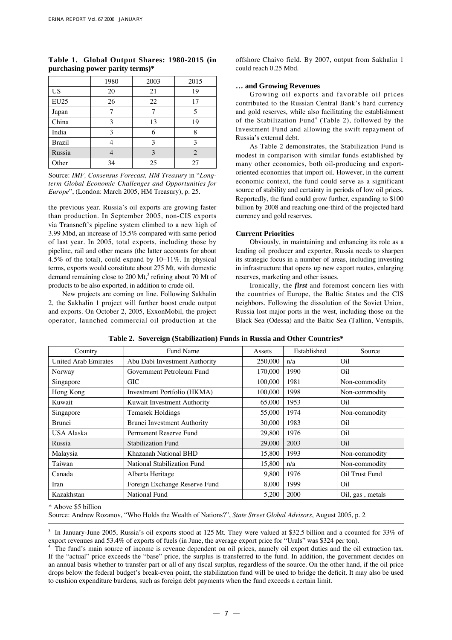|               | 1980 | 2003 | 2015 |
|---------------|------|------|------|
| <b>US</b>     | 20   | 21   | 19   |
| <b>EU25</b>   | 26   | 22   | 17   |
| Japan         |      |      |      |
| China         | 3    | 13   | 19   |
| India         | 3    | 6    | 8    |
| <b>Brazil</b> | 4    | 3    | 3    |
| Russia        |      | 3    |      |
| Other         | 34   | 25   | 27   |

# **Table 1. Global Output Shares: 1980-2015 (in purchasing power parity terms)\***

Source: *IMF, Consensus Forecast, HM Treasury* in "*Longterm Global Economic Challenges and Opportunities for Europe*", (London: March 2005, HM Treasury), p. 25.

the previous year. Russia's oil exports are growing faster than production. In September 2005, non-CIS exports via Transneft's pipeline system climbed to a new high of 3.99 Mbd, an increase of 15.5% compared with same period of last year. In 2005, total exports, including those by pipeline, rail and other means (the latter accounts for about 4.5% of the total), could expand by 10–11%. In physical terms, exports would constitute about 275 Mt, with domestic demand remaining close to 200 Mt,<sup>3</sup> refining about 70 Mt of products to be also exported, in addition to crude oil.

New projects are coming on line. Following Sakhalin 2, the Sakhalin 1 project will further boost crude output and exports. On October 2, 2005, ExxonMobil, the project operator, launched commercial oil production at the offshore Chaivo field. By 2007, output from Sakhalin 1 could reach 0.25 Mbd.

## **… and Growing Revenues**

Growing oil exports and favorable oil prices contributed to the Russian Central Bank's hard currency and gold reserves, while also facilitating the establishment of the Stabilization Fund<sup>4</sup> (Table 2), followed by the Investment Fund and allowing the swift repayment of Russia's external debt.

As Table 2 demonstrates, the Stabilization Fund is modest in comparison with similar funds established by many other economies, both oil-producing and exportoriented economies that import oil. However, in the current economic context, the fund could serve as a significant source of stability and certainty in periods of low oil prices. Reportedly, the fund could grow further, expanding to \$100 billion by 2008 and reaching one-third of the projected hard currency and gold reserves.

## **Current Priorities**

Obviously, in maintaining and enhancing its role as a leading oil producer and exporter, Russia needs to sharpen its strategic focus in a number of areas, including investing in infrastructure that opens up new export routes, enlarging reserves, marketing and other issues.

Ironically, the *first* and foremost concern lies with the countries of Europe, the Baltic States and the CIS neighbors. Following the dissolution of the Soviet Union, Russia lost major ports in the west, including those on the Black Sea (Odessa) and the Baltic Sea (Tallinn, Ventspils,

| Country                     | <b>Fund Name</b>                   | Assets  | Established | Source           |
|-----------------------------|------------------------------------|---------|-------------|------------------|
| <b>United Arab Emirates</b> | Abu Dabi Investment Authority      | 250,000 | n/a         | O <sub>il</sub>  |
| Norway                      | Government Petroleum Fund          | 170,000 | 1990        | O <sub>il</sub>  |
| Singapore                   | GIC.                               | 100,000 | 1981        | Non-commodity    |
| Hong Kong                   | Investment Portfolio (HKMA)        | 100,000 | 1998        | Non-commodity    |
| Kuwait                      | Kuwait Investment Authority        | 65,000  | 1953        | Oil              |
| Singapore                   | Temasek Holdings                   | 55,000  | 1974        | Non-commodity    |
| <b>Brunei</b>               | <b>Brunei Investment Authority</b> | 30,000  | 1983        | Oil              |
| USA Alaska                  | Permanent Reserve Fund             | 29,800  | 1976        | Oil              |
| Russia                      | <b>Stabilization Fund</b>          | 29,000  | 2003        | Oil              |
| Malaysia                    | Khazanah National BHD              | 15,800  | 1993        | Non-commodity    |
| Taiwan                      | National Stabilization Fund        | 15,800  | n/a         | Non-commodity    |
| Canada                      | Alberta Heritage                   | 9.800   | 1976        | Oil Trust Fund   |
| Iran                        | Foreign Exchange Reserve Fund      | 8,000   | 1999        | O <sub>il</sub>  |
| Kazakhstan                  | <b>National Fund</b>               | 5.200   | 2000        | Oil, gas, metals |

**Table 2. Sovereign (Stabilization) Funds in Russia and Other Countries\***

\* Above \$5 billion

Source: Andrew Rozanov, "Who Holds the Wealth of Nations?", *State Street Global Advisors*, August 2005, p. 2

3 In January-June 2005, Russia's oil exports stood at 125 Mt. They were valued at \$32.5 billion and a ccounted for 33% of export revenues and 53.4% of exports of fuels (in June, the average export price for "Urals" was \$324 per ton).

<sup>4</sup> The fund's main source of income is revenue dependent on oil prices, namely oil export duties and the oil extraction tax. If the "actual" price exceeds the "base" price, the surplus is transferred to the fund. In addition, the government decides on an annual basis whether to transfer part or all of any fiscal surplus, regardless of the source. On the other hand, if the oil price drops below the federal budget's break-even point, the stabilization fund will be used to bridge the deficit. It may also be used to cushion expenditure burdens, such as foreign debt payments when the fund exceeds a certain limit.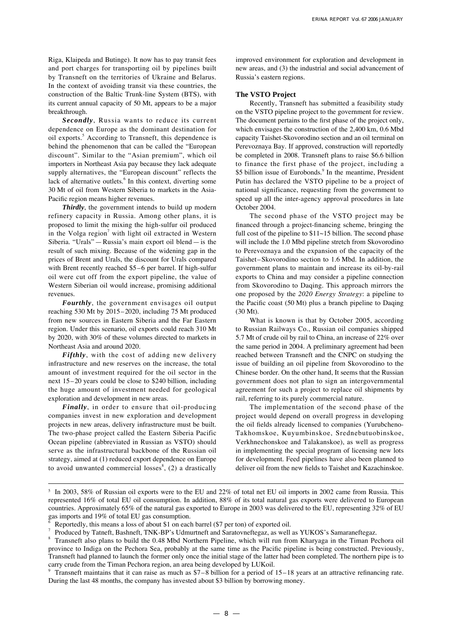Riga, Klaipeda and Butinge). It now has to pay transit fees and port charges for transporting oil by pipelines built by Transneft on the territories of Ukraine and Belarus. In the context of avoiding transit via these countries, the construction of the Baltic Trunk-line System (BTS), with its current annual capacity of 50 Mt, appears to be a major breakthrough.

*Secondly*, Russia wants to reduce its current dependence on Europe as the dominant destination for oil exports.<sup>5</sup> According to Transneft, this dependence is behind the phenomenon that can be called the "European discount". Similar to the "Asian premium", which oil importers in Northeast Asia pay because they lack adequate supply alternatives, the "European discount" reflects the lack of alternative outlets.<sup>6</sup> In this context, diverting some 30 Mt of oil from Western Siberia to markets in the Asia-Pacific region means higher revenues.

*Thirdly*, the government intends to build up modern refinery capacity in Russia. Among other plans, it is proposed to limit the mixing the high-sulfur oil produced in the Volga region<sup>7</sup> with light oil extracted in Western Siberia. "Urals"—Russia's main export oil blend—is the result of such mixing. Because of the widening gap in the prices of Brent and Urals, the discount for Urals compared with Brent recently reached \$5–6 per barrel. If high-sulfur oil were cut off from the export pipeline, the value of Western Siberian oil would increase, promising additional revenues.

*Fourthly*, the government envisages oil output reaching 530 Mt by 2015–2020, including 75 Mt produced from new sources in Eastern Siberia and the Far Eastern region. Under this scenario, oil exports could reach 310 Mt by 2020, with 30% of these volumes directed to markets in Northeast Asia and around 2020.

*Fifthly*, with the cost of adding new delivery infrastructure and new reserves on the increase, the total amount of investment required for the oil sector in the next 15–20 years could be close to \$240 billion, including the huge amount of investment needed for geological exploration and development in new areas.

*Finally*, in order to ensure that oil-producing companies invest in new exploration and development projects in new areas, delivery infrastructure must be built. The two-phase project called the Eastern Siberia Pacific Ocean pipeline (abbreviated in Russian as VSTO) should serve as the infrastructural backbone of the Russian oil strategy, aimed at (1) reduced export dependence on Europe to avoid unwanted commercial losses<sup>8</sup>, (2) a drastically improved environment for exploration and development in new areas, and (3) the industrial and social advancement of Russia's eastern regions.

# **The VSTO Project**

Recently, Transneft has submitted a feasibility study on the VSTO pipeline project to the government for review. The document pertains to the first phase of the project only, which envisages the construction of the 2,400 km, 0.6 Mbd capacity Taishet-Skovorodino section and an oil terminal on Perevoznaya Bay. If approved, construction will reportedly be completed in 2008. Transneft plans to raise \$6.6 billion to finance the first phase of the project, including a \$5 billion issue of Eurobonds.<sup>9</sup> In the meantime, President Putin has declared the VSTO pipeline to be a project of national significance, requesting from the government to speed up all the inter-agency approval procedures in late October 2004.

The second phase of the VSTO project may be financed through a project-financing scheme, bringing the full cost of the pipeline to  $$11~15$  billion. The second phase will include the 1.0 Mbd pipeline stretch from Skovorodino to Perevoznaya and the expansion of the capacity of the Taishet–Skovorodino section to 1.6 Mbd. In addition, the government plans to maintain and increase its oil-by-rail exports to China and may consider a pipeline connection from Skovorodino to Daqing. This approach mirrors the one proposed by the *2020 Energy Strategy*: a pipeline to the Pacific coast (50 Mt) plus a branch pipeline to Daqing (30 Mt).

What is known is that by October 2005, according to Russian Railways Co., Russian oil companies shipped 5.7 Mt of crude oil by rail to China, an increase of 22% over the same period in 2004. A preliminary agreement had been reached between Transneft and the CNPC on studying the issue of building an oil pipeline from Skovorodino to the Chinese border. On the other hand, It seems that the Russian government does not plan to sign an intergovernmental agreement for such a project to replace oil shipments by rail, referring to its purely commercial nature.

The implementation of the second phase of the project would depend on overall progress in developing the oil fields already licensed to companies (Yurubcheno-Takhomskoe, Kuyumbinskoe, Srednebutuobinskoe, Verkhnechonskoe and Talakanskoe), as well as progress in implementing the special program of licensing new lots for development. Feed pipelines have also been planned to deliver oil from the new fields to Taishet and Kazachinskoe.

<sup>5</sup> In 2003, 58% of Russian oil exports were to the EU and 22% of total net EU oil imports in 2002 came from Russia. This represented 16% of total EU oil consumption. In addition, 88% of its total natural gas exports were delivered to European countries. Approximately 65% of the natural gas exported to Europe in 2003 was delivered to the EU, representing 32% of EU gas imports and 19% of total EU gas consumption. <sup>6</sup>

Reportedly, this means a loss of about \$1 on each barrel (\$7 per ton) of exported oil.

Produced by Tatneft, Bashneft, TNK-BP's Udmurtneft and Saratovneftegaz, as well as YUKOS's Samaraneftegaz.

Transneft also plans to build the 0.48 Mbd Northern Pipeline, which will run from Kharyaga in the Timan Pechora oil province to Indiga on the Pechora Sea, probably at the same time as the Pacific pipeline is being constructed. Previously, Transneft had planned to launch the former only once the initial stage of the latter had been completed. The northern pipe is to carry crude from the Timan Pechora region, an area being developed by LUKoil.

<sup>9</sup> Transneft maintains that it can raise as much as  $$7–8$  billion for a period of  $15–18$  years at an attractive refinancing rate. During the last 48 months, the company has invested about \$3 billion by borrowing money.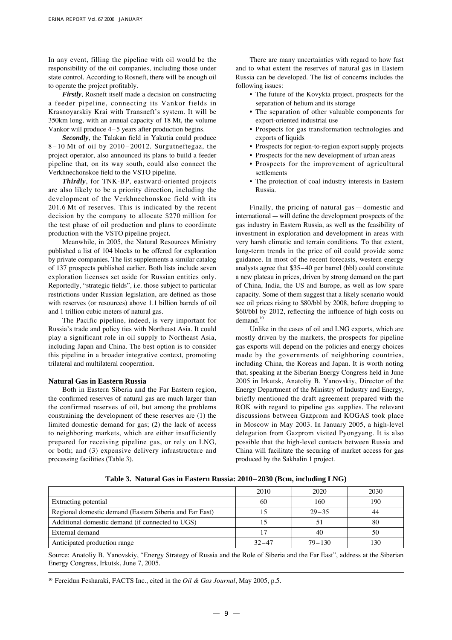In any event, filling the pipeline with oil would be the responsibility of the oil companies, including those under state control. According to Rosneft, there will be enough oil to operate the project profitably.

*Firstly*, Rosneft itself made a decision on constructing a feeder pipeline, connecting its Vankor fields in Krasnoyarskiy Krai with Transneft's system. It will be 350km long, with an annual capacity of 18 Mt, the volume Vankor will produce 4–5 years after production begins.

**Secondly**, the Talakan field in Yakutia could produce 8 – 10 Mt of oil by 2010–20012. Surgutneftegaz, the project operator, also announced its plans to build a feeder pipeline that, on its way south, could also connect the Verkhnechonskoe field to the VSTO pipeline.

*Thirdly*, for TNK-BP, eastward-oriented projects are also likely to be a priority direction, including the development of the Verkhnechonskoe field with its 201.6 Mt of reserves. This is indicated by the recent decision by the company to allocate \$270 million for the test phase of oil production and plans to coordinate production with the VSTO pipeline project.

Meanwhile, in 2005, the Natural Resources Ministry published a list of 104 blocks to be offered for exploration by private companies. The list supplements a similar catalog of 137 prospects published earlier. Both lists include seven exploration licenses set aside for Russian entities only. Reportedly, "strategic fields", i.e. those subject to particular restrictions under Russian legislation, are defined as those with reserves (or resources) above 1.1 billion barrels of oil and 1 trillion cubic meters of natural gas.

The Pacific pipeline, indeed, is very important for Russia's trade and policy ties with Northeast Asia. It could play a significant role in oil supply to Northeast Asia, including Japan and China. The best option is to consider this pipeline in a broader integrative context, promoting trilateral and multilateral cooperation.

#### **Natural Gas in Eastern Russia**

Both in Eastern Siberia and the Far Eastern region, the confirmed reserves of natural gas are much larger than the confirmed reserves of oil, but among the problems constraining the development of these reserves are (1) the limited domestic demand for gas; (2) the lack of access to neighboring markets, which are either insufficiently prepared for receiving pipeline gas, or rely on LNG, or both; and (3) expensive delivery infrastructure and processing facilities (Table 3).

There are many uncertainties with regard to how fast and to what extent the reserves of natural gas in Eastern Russia can be developed. The list of concerns includes the following issues:

- The future of the Kovykta project, prospects for the separation of helium and its storage
- The separation of other valuable components for export-oriented industrial use
- Prospects for gas transformation technologies and exports of liquids
- Prospects for region-to-region export supply projects
- Prospects for the new development of urban areas
- Prospects for the improvement of agricultural settlements
- The protection of coal industry interests in Eastern Russia.

Finally, the pricing of natural gas — domestic and international — will define the development prospects of the gas industry in Eastern Russia, as well as the feasibility of investment in exploration and development in areas with very harsh climatic and terrain conditions. To that extent, long-term trends in the price of oil could provide some guidance. In most of the recent forecasts, western energy analysts agree that \$35–40 per barrel (bbl) could constitute a new plateau in prices, driven by strong demand on the part of China, India, the US and Europe, as well as low spare capacity. Some of them suggest that a likely scenario would see oil prices rising to \$80/bbl by 2008, before dropping to \$60/bbl by 2012, reflecting the influence of high costs on  $demand.<sup>1</sup>$ 

Unlike in the cases of oil and LNG exports, which are mostly driven by the markets, the prospects for pipeline gas exports will depend on the policies and energy choices made by the governments of neighboring countries, including China, the Koreas and Japan. It is worth noting that, speaking at the Siberian Energy Congress held in June 2005 in Irkutsk, Anatoliy B. Yanovskiy, Director of the Energy Department of the Ministry of Industry and Energy, briefly mentioned the draft agreement prepared with the ROK with regard to pipeline gas supplies. The relevant discussions between Gazprom and KOGAS took place in Moscow in May 2003. In January 2005, a high-level delegation from Gazprom visited Pyongyang. It is also possible that the high-level contacts between Russia and China will facilitate the securing of market access for gas produced by the Sakhalin 1 project.

|                                                         | 2010      | 2020       | 2030 |
|---------------------------------------------------------|-----------|------------|------|
| Extracting potential                                    | 60        | 160        | 190  |
| Regional domestic demand (Eastern Siberia and Far East) |           | $29 - 35$  | 44   |
| Additional domestic demand (if connected to UGS)        |           |            | 80   |
| External demand                                         |           | 40         | 50   |
| Anticipated production range                            | $32 - 47$ | $79 - 130$ | 130  |

**Table 3. Natural Gas in Eastern Russia: 2010–2030 (Bcm, including LNG)**

Source: Anatoliy B. Yanovskiy, "Energy Strategy of Russia and the Role of Siberia and the Far East", address at the Siberian Energy Congress, Irkutsk, June 7, 2005.

10 Fereidun Fesharaki, FACTS Inc., cited in the *Oil & Gas Journal*, May 2005, p.5.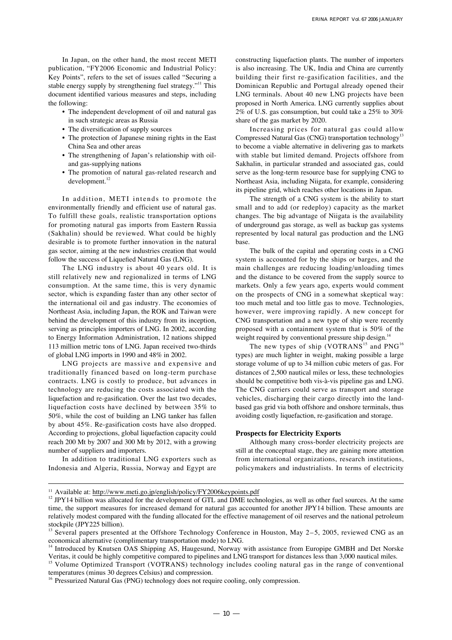In Japan, on the other hand, the most recent METI publication, "FY2006 Economic and Industrial Policy: Key Points", refers to the set of issues called "Securing a stable energy supply by strengthening fuel strategy."<sup>11</sup> This document identified various measures and steps, including the following:

- The independent development of oil and natural gas in such strategic areas as Russia
- The diversification of supply sources
- The protection of Japanese mining rights in the East China Sea and other areas
- The strengthening of Japan's relationship with oiland gas-supplying nations
- The promotion of natural gas-related research and  $development.<sup>12</sup>$

In addition, METI intends to promote the environmentally friendly and efficient use of natural gas. To fulfill these goals, realistic transportation options for promoting natural gas imports from Eastern Russia (Sakhalin) should be reviewed. What could be highly desirable is to promote further innovation in the natural gas sector, aiming at the new industries creation that would follow the success of Liquefied Natural Gas (LNG).

The LNG industry is about 40 years old. It is still relatively new and regionalized in terms of LNG consumption. At the same time, this is very dynamic sector, which is expanding faster than any other sector of the international oil and gas industry. The economies of Northeast Asia, including Japan, the ROK and Taiwan were behind the development of this industry from its inception, serving as principles importers of LNG. In 2002, according to Energy Information Administration, 12 nations shipped 113 million metric tons of LNG. Japan received two-thirds of global LNG imports in 1990 and 48% in 2002.

LNG projects are massive and expensive and traditionally financed based on long-term purchase contracts. LNG is costly to produce, but advances in technology are reducing the costs associated with the liquefaction and re-gasification. Over the last two decades, liquefaction costs have declined by between 35% to 50%, while the cost of building an LNG tanker has fallen by about 45%. Re-gasification costs have also dropped. According to projections, global liquefaction capacity could reach 200 Mt by 2007 and 300 Mt by 2012, with a growing number of suppliers and importers.

In addition to traditional LNG exporters such as Indonesia and Algeria, Russia, Norway and Egypt are constructing liquefaction plants. The number of importers is also increasing. The UK, India and China are currently building their first re-gasification facilities, and the Dominican Republic and Portugal already opened their LNG terminals. About 40 new LNG projects have been proposed in North America. LNG currently supplies about 2% of U.S. gas consumption, but could take a 25% to 30% share of the gas market by 2020.

Increasing prices for natural gas could allow Compressed Natural Gas (CNG) transportation technology<sup>13</sup> to become a viable alternative in delivering gas to markets with stable but limited demand. Projects offshore from Sakhalin, in particular stranded and associated gas, could serve as the long-term resource base for supplying CNG to Northeast Asia, including Niigata, for example, considering its pipeline grid, which reaches other locations in Japan.

The strength of a CNG system is the ability to start small and to add (or redeploy) capacity as the market changes. The big advantage of Niigata is the availability of underground gas storage, as well as backup gas systems represented by local natural gas production and the LNG base.

The bulk of the capital and operating costs in a CNG system is accounted for by the ships or barges, and the main challenges are reducing loading/unloading times and the distance to be covered from the supply source to markets. Only a few years ago, experts would comment on the prospects of CNG in a somewhat skeptical way: too much metal and too little gas to move. Technologies, however, were improving rapidly. A new concept for CNG transportation and a new type of ship were recently proposed with a containment system that is 50% of the weight required by conventional pressure ship design.<sup>14</sup>

The new types of ship (VOTRANS<sup>15</sup> and  $PNG^{16}$ types) are much lighter in weight, making possible a large storage volume of up to 34 million cubic meters of gas. For distances of 2,500 nautical miles or less, these technologies should be competitive both vis-à-vis pipeline gas and LNG. The CNG carriers could serve as transport and storage vehicles, discharging their cargo directly into the landbased gas grid via both offshore and onshore terminals, thus avoiding costly liquefaction, re-gasification and storage.

#### **Prospects for Electricity Exports**

Although many cross-border electricity projects are still at the conceptual stage, they are gaining more attention from international organizations, research institutions, policymakers and industrialists. In terms of electricity

<sup>&</sup>lt;sup>11</sup> Available at: http://www.meti.go.jp/english/policy/FY2006keypoints.pdf

<sup>&</sup>lt;sup>12</sup> JPY14 billion was allocated for the development of GTL and DME technologies, as well as other fuel sources. At the same time, the support measures for increased demand for natural gas accounted for another JPY14 billion. These amounts are relatively modest compared with the funding allocated for the effective management of oil reserves and the national petroleum stockpile (JPY225 billion).<br><sup>13</sup> Several papers presented at the Offshore Technology Conference in Houston, May 2–5, 2005, reviewed CNG as an

economical alternative (complimentary transportation mode) to LNG.

<sup>&</sup>lt;sup>14</sup> Introduced by Knutsen OAS Shipping AS, Haugesund, Norway with assistance from Europipe GMBH and Det Norske Veritas, it could be highly competitive compared to pipelines and LNG transport for distances less than 3,000 nautical miles.

<sup>&</sup>lt;sup>15</sup> Volume Optimized Transport (VOTRANS) technology includes cooling natural gas in the range of conventional temperatures (minus 30 degrees Celsius) and compression.

<sup>&</sup>lt;sup>16</sup> Pressurized Natural Gas (PNG) technology does not require cooling, only compression.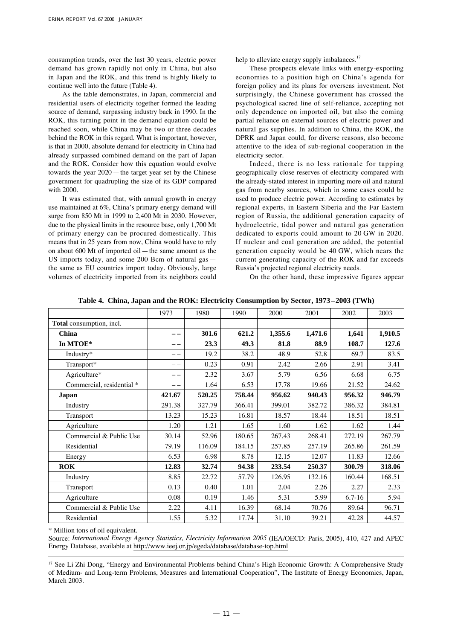consumption trends, over the last 30 years, electric power demand has grown rapidly not only in China, but also in Japan and the ROK, and this trend is highly likely to continue well into the future (Table 4).

As the table demonstrates, in Japan, commercial and residential users of electricity together formed the leading source of demand, surpassing industry back in 1990. In the ROK, this turning point in the demand equation could be reached soon, while China may be two or three decades behind the ROK in this regard. What is important, however, is that in 2000, absolute demand for electricity in China had already surpassed combined demand on the part of Japan and the ROK. Consider how this equation would evolve towards the year 2020—the target year set by the Chinese government for quadrupling the size of its GDP compared with 2000.

It was estimated that, with annual growth in energy use maintained at 6%, China's primary energy demand will surge from 850 Mt in 1999 to 2,400 Mt in 2030. However, due to the physical limits in the resource base, only 1,700 Mt of primary energy can be procured domestically. This means that in 25 years from now, China would have to rely on about 600 Mt of imported oil—the same amount as the US imports today, and some 200 Bcm of natural gas the same as EU countries import today. Obviously, large volumes of electricity imported from its neighbors could help to alleviate energy supply imbalances.<sup>17</sup>

These prospects elevate links with energy-exporting economies to a position high on China's agenda for foreign policy and its plans for overseas investment. Not surprisingly, the Chinese government has crossed the psychological sacred line of self-reliance, accepting not only dependence on imported oil, but also the coming partial reliance on external sources of electric power and natural gas supplies. In addition to China, the ROK, the DPRK and Japan could, for diverse reasons, also become attentive to the idea of sub-regional cooperation in the electricity sector.

Indeed, there is no less rationale for tapping geographically close reserves of electricity compared with the already-stated interest in importing more oil and natural gas from nearby sources, which in some cases could be used to produce electric power. According to estimates by regional experts, in Eastern Siberia and the Far Eastern region of Russia, the additional generation capacity of hydroelectric, tidal power and natural gas generation dedicated to exports could amount to 20 GW in 2020. If nuclear and coal generation are added, the potential generation capacity would be 40 GW, which nears the current generating capacity of the ROK and far exceeds Russia's projected regional electricity needs.

On the other hand, these impressive figures appear

|                           | 1973   | 1980   | 1990   | 2000    | 2001    | 2002       | 2003    |
|---------------------------|--------|--------|--------|---------|---------|------------|---------|
| Total consumption, incl.  |        |        |        |         |         |            |         |
| China                     |        | 301.6  | 621.2  | 1,355.6 | 1,471.6 | 1,641      | 1,910.5 |
| In MTOE*                  | __     | 23.3   | 49.3   | 81.8    | 88.9    | 108.7      | 127.6   |
| Industry*                 |        | 19.2   | 38.2   | 48.9    | 52.8    | 69.7       | 83.5    |
| Transport*                |        | 0.23   | 0.91   | 2.42    | 2.66    | 2.91       | 3.41    |
| Agriculture*              | --     | 2.32   | 3.67   | 5.79    | 6.56    | 6.68       | 6.75    |
| Commercial, residential * |        | 1.64   | 6.53   | 17.78   | 19.66   | 21.52      | 24.62   |
| Japan                     | 421.67 | 520.25 | 758.44 | 956.62  | 940.43  | 956.32     | 946.79  |
| Industry                  | 291.38 | 327.79 | 366.41 | 399.01  | 382.72  | 386.32     | 384.81  |
| Transport                 | 13.23  | 15.23  | 16.81  | 18.57   | 18.44   | 18.51      | 18.51   |
| Agriculture               | 1.20   | 1.21   | 1.65   | 1.60    | 1.62    | 1.62       | 1.44    |
| Commercial & Public Use   | 30.14  | 52.96  | 180.65 | 267.43  | 268.41  | 272.19     | 267.79  |
| Residential               | 79.19  | 116.09 | 184.15 | 257.85  | 257.19  | 265.86     | 261.59  |
| Energy                    | 6.53   | 6.98   | 8.78   | 12.15   | 12.07   | 11.83      | 12.66   |
| ROK                       | 12.83  | 32.74  | 94.38  | 233.54  | 250.37  | 300.79     | 318.06  |
| Industry                  | 8.85   | 22.72  | 57.79  | 126.95  | 132.16  | 160.44     | 168.51  |
| Transport                 | 0.13   | 0.40   | 1.01   | 2.04    | 2.26    | 2.27       | 2.33    |
| Agriculture               | 0.08   | 0.19   | 1.46   | 5.31    | 5.99    | $6.7 - 16$ | 5.94    |
| Commercial & Public Use   | 2.22   | 4.11   | 16.39  | 68.14   | 70.76   | 89.64      | 96.71   |
| Residential               | 1.55   | 5.32   | 17.74  | 31.10   | 39.21   | 42.28      | 44.57   |

**Table 4. China, Japan and the ROK: Electricity Consumption by Sector, 1973–2003 (TWh)**

\* Million tons of oil equivalent.

Source: *International Energy Agency Statistics, Electricity Information 2005* (IEA/OECD: Paris, 2005), 410, 427 and APEC Energy Database, available at http://www.ieej.or.jp/egeda/database/database-top.html

<sup>17</sup> See Li Zhi Dong, "Energy and Environmental Problems behind China's High Economic Growth: A Comprehensive Study of Medium- and Long-term Problems, Measures and International Cooperation", The Institute of Energy Economics, Japan, March 2003.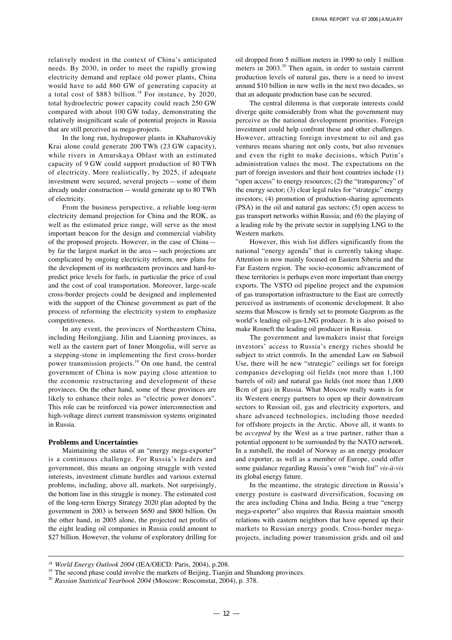relatively modest in the context of China's anticipated needs. By 2030, in order to meet the rapidly growing electricity demand and replace old power plants, China would have to add 860 GW of generating capacity at a total cost of \$883 billion.<sup>18</sup> For instance, by 2020, total hydroelectric power capacity could reach 250 GW compared with about 100 GW today, demonstrating the relatively insignificant scale of potential projects in Russia that are still perceived as mega-projects.

In the long run, hydropower plants in Khabarovskiy Krai alone could generate 200 TWh (23 GW capacity), while rivers in Amurskaya Oblast with an estimated capacity of 9 GW could support production of 80 TWh of electricity. More realistically, by 2025, if adequate investment were secured, several projects—some of them already under construction—would generate up to 80 TWh of electricity.

From the business perspective, a reliable long-term electricity demand projection for China and the ROK, as well as the estimated price range, will serve as the most important beacon for the design and commercial viability of the proposed projects. However, in the case of China by far the largest market in the area—such projections are complicated by ongoing electricity reform, new plans for the development of its northeastern provinces and hard-topredict price levels for fuels, in particular the price of coal and the cost of coal transportation. Moreover, large-scale cross-border projects could be designed and implemented with the support of the Chinese government as part of the process of reforming the electricity system to emphasize competitiveness.

In any event, the provinces of Northeastern China, including Heilongjiang, Jilin and Liaoning provinces, as well as the eastern part of Inner Mongolia, will serve as a stepping-stone in implementing the first cross-border power transmission projects.<sup>19</sup> On one hand, the central government of China is now paying close attention to the economic restructuring and development of these provinces. On the other hand, some of these provinces are likely to enhance their roles as "electric power donors". This role can be reinforced via power interconnection and high-voltage direct current transmission systems originated in Russia.

#### **Problems and Uncertainties**

Maintaining the status of an "energy mega-exporter" is a continuous challenge. For Russia's leaders and government, this means an ongoing struggle with vested interests, investment climate hurdles and various external problems, including, above all, markets. Not surprisingly, the bottom line in this struggle is money. The estimated cost of the long-term Energy Strategy 2020 plan adopted by the government in 2003 is between \$650 and \$800 billion. On the other hand, in 2005 alone, the projected net profits of the eight leading oil companies in Russia could amount to \$27 billion. However, the volume of exploratory drilling for oil dropped from 5 million meters in 1990 to only 1 million meters in 2003.<sup>20</sup> Then again, in order to sustain current production levels of natural gas, there is a need to invest around \$10 billion in new wells in the next two decades, so that an adequate production base can be secured.

The central dilemma is that corporate interests could diverge quite considerably from what the government may perceive as the national development priorities. Foreign investment could help confront these and other challenges. However, attracting foreign investment to oil and gas ventures means sharing not only costs, but also revenues and even the right to make decisions, which Putin's administration values the most. The expectations on the part of foreign investors and their host countries include (1) "open access" to energy resources; (2) the "transparency" of the energy sector; (3) clear legal rules for "strategic" energy investors; (4) promotion of production-sharing agreements (PSA) in the oil and natural gas sectors; (5) open access to gas transport networks within Russia; and (6) the playing of a leading role by the private sector in supplying LNG to the Western markets.

However, this wish list differs significantly from the national "energy agenda" that is currently taking shape. Attention is now mainly focused on Eastern Siberia and the Far Eastern region. The socio-economic advancement of these territories is perhaps even more important than energy exports. The VSTO oil pipeline project and the expansion of gas transportation infrastructure to the East are correctly perceived as instruments of economic development. It also seems that Moscow is firmly set to promote Gazprom as the world's leading oil-gas-LNG producer. It is also poised to make Rosneft the leading oil producer in Russia.

The government and lawmakers insist that foreign investors' access to Russia's energy riches should be subject to strict controls. In the amended Law on Subsoil Use, there will be new "strategic" ceilings set for foreign companies developing oil fields (not more than 1,100 barrels of oil) and natural gas fields (not more than 1,000 Bcm of gas) in Russia. What Moscow really wants is for its Western energy partners to open up their downstream sectors to Russian oil, gas and electricity exporters, and share advanced technologies, including those needed for offshore projects in the Arctic. Above all, it wants to be *accepted* by the West as a true partner, rather than a potential opponent to be surrounded by the NATO network. In a nutshell, the model of Norway as an energy producer and exporter, as well as a member of Europe, could offer some guidance regarding Russia's own "wish list" *vis-à-vis* its global energy future.

In the meantime, the strategic direction in Russia's energy posture is eastward diversification, focusing on the area including China and India. Being a true "energy mega-exporter" also requires that Russia maintain smooth relations with eastern neighbors that have opened up their markets to Russian energy goods. Cross-border megaprojects, including power transmission grids and oil and

<sup>&</sup>lt;sup>18</sup> World Energy Outlook 2004 (IEA/OECD: Paris, 2004), p.208.

 $19$  The second phase could involve the markets of Beijing, Tianjin and Shandong provinces.

<sup>20</sup> *Russian Statistical Yearbook 2004* (Moscow: Roscomstat, 2004), p. 378.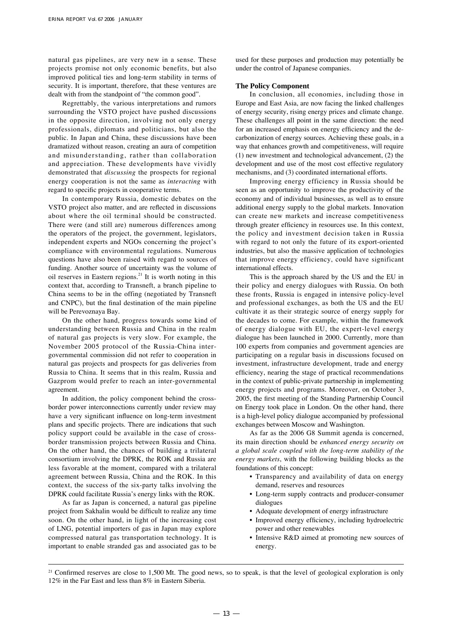natural gas pipelines, are very new in a sense. These projects promise not only economic benefits, but also improved political ties and long-term stability in terms of security. It is important, therefore, that these ventures are dealt with from the standpoint of "the common good".

Regrettably, the various interpretations and rumors surrounding the VSTO project have pushed discussions in the opposite direction, involving not only energy professionals, diplomats and politicians, but also the public. In Japan and China, these discussions have been dramatized without reason, creating an aura of competition and misunderstanding, rather than collaboration and appreciation. These developments have vividly demonstrated that *discussing* the prospects for regional energy cooperation is not the same as *interacting* with regard to specific projects in cooperative terms.

In contemporary Russia, domestic debates on the VSTO project also matter, and are reflected in discussions about where the oil terminal should be constructed. There were (and still are) numerous differences among the operators of the project, the government, legislators, independent experts and NGOs concerning the project's compliance with environmental regulations. Numerous questions have also been raised with regard to sources of funding. Another source of uncertainty was the volume of oil reserves in Eastern regions. $21$  It is worth noting in this context that, according to Transneft, a branch pipeline to China seems to be in the offing (negotiated by Transneft and CNPC), but the final destination of the main pipeline will be Perevoznaya Bay.

On the other hand, progress towards some kind of understanding between Russia and China in the realm of natural gas projects is very slow. For example, the November 2005 protocol of the Russia-China intergovernmental commission did not refer to cooperation in natural gas projects and prospects for gas deliveries from Russia to China. It seems that in this realm, Russia and Gazprom would prefer to reach an inter-governmental agreement.

In addition, the policy component behind the crossborder power interconnections currently under review may have a very significant influence on long-term investment plans and specific projects. There are indications that such policy support could be available in the case of crossborder transmission projects between Russia and China. On the other hand, the chances of building a trilateral consortium involving the DPRK, the ROK and Russia are less favorable at the moment, compared with a trilateral agreement between Russia, China and the ROK. In this context, the success of the six-party talks involving the DPRK could facilitate Russia's energy links with the ROK.

As far as Japan is concerned, a natural gas pipeline project from Sakhalin would be difficult to realize any time soon. On the other hand, in light of the increasing cost of LNG, potential importers of gas in Japan may explore compressed natural gas transportation technology. It is important to enable stranded gas and associated gas to be used for these purposes and production may potentially be under the control of Japanese companies.

# **The Policy Component**

In conclusion, all economies, including those in Europe and East Asia, are now facing the linked challenges of energy security, rising energy prices and climate change. These challenges all point in the same direction: the need for an increased emphasis on energy efficiency and the decarbonization of energy sources. Achieving these goals, in a way that enhances growth and competitiveness, will require (1) new investment and technological advancement, (2) the development and use of the most cost effective regulatory mechanisms, and (3) coordinated international efforts.

Improving energy efficiency in Russia should be seen as an opportunity to improve the productivity of the economy and of individual businesses, as well as to ensure additional energy supply to the global markets. Innovation can create new markets and increase competitiveness through greater efficiency in resources use. In this context, the policy and investment decision taken in Russia with regard to not only the future of its export-oriented industries, but also the massive application of technologies that improve energy efficiency, could have significant international effects.

This is the approach shared by the US and the EU in their policy and energy dialogues with Russia. On both these fronts, Russia is engaged in intensive policy-level and professional exchanges, as both the US and the EU cultivate it as their strategic source of energy supply for the decades to come. For example, within the framework of energy dialogue with EU, the expert-level energy dialogue has been launched in 2000. Currently, more than 100 experts from companies and government agencies are participating on a regular basis in discussions focused on investment, infrastructure development, trade and energy efficiency, nearing the stage of practical recommendations in the context of public-private partnership in implementing energy projects and programs. Moreover, on October 3, 2005, the first meeting of the Standing Partnership Council on Energy took place in London. On the other hand, there is a high-level policy dialogue accompanied by professional exchanges between Moscow and Washington.

As far as the 2006 G8 Summit agenda is concerned, its main direction should be *enhanced energy security on a global scale coupled with the long-term stability of the energy markets*, with the following building blocks as the foundations of this concept:

- Transparency and availability of data on energy demand, reserves and resources
- Long-term supply contracts and producer-consumer dialogues
- Adequate development of energy infrastructure
- Improved energy efficiency, including hydroelectric power and other renewables
- Intensive R&D aimed at promoting new sources of energy.

<sup>&</sup>lt;sup>21</sup> Confirmed reserves are close to 1,500 Mt. The good news, so to speak, is that the level of geological exploration is only 12% in the Far East and less than 8% in Eastern Siberia.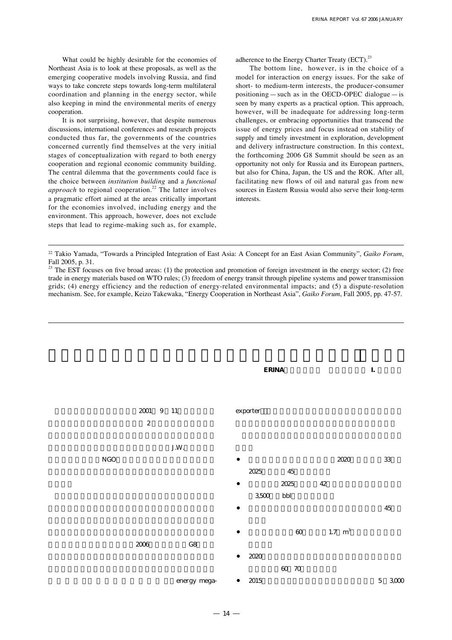What could be highly desirable for the economies of Northeast Asia is to look at these proposals, as well as the emerging cooperative models involving Russia, and find ways to take concrete steps towards long-term multilateral coordination and planning in the energy sector, while also keeping in mind the environmental merits of energy cooperation.

It is not surprising, however, that despite numerous discussions, international conferences and research projects conducted thus far, the governments of the countries concerned currently find themselves at the very initial stages of conceptualization with regard to both energy cooperation and regional economic community building. The central dilemma that the governments could face is the choice between *institution building* and a *functional approach* to regional cooperation.<sup>22</sup> The latter involves a pragmatic effort aimed at the areas critically important for the economies involved, including energy and the environment. This approach, however, does not exclude steps that lead to regime-making such as, for example, adherence to the Energy Charter Treaty (ECT). $^{23}$ 

The bottom line, however, is in the choice of a model for interaction on energy issues. For the sake of short- to medium-term interests, the producer-consumer positioning—such as in the OECD-OPEC dialogue—is seen by many experts as a practical option. This approach, however, will be inadequate for addressing long-term challenges, or embracing opportunities that transcend the issue of energy prices and focus instead on stability of supply and timely investment in exploration, development and delivery infrastructure construction. In this context, the forthcoming 2006 G8 Summit should be seen as an opportunity not only for Russia and its European partners, but also for China, Japan, the US and the ROK. After all, facilitating new flows of oil and natural gas from new sources in Eastern Russia would also serve their long-term interests.



<sup>22</sup> Takio Yamada, "Towards a Principled Integration of East Asia: A Concept for an East Asian Community", *Gaiko Forum*, Fall 2005, p. 31. 23 The EST focuses on five broad areas: (1) the protection and promotion of foreign investment in the energy sector; (2) free

trade in energy materials based on WTO rules; (3) freedom of energy transit through pipeline systems and power transmission grids; (4) energy efficiency and the reduction of energy-related environmental impacts; and (5) a dispute-resolution mechanism. See, for example, Keizo Takewaka, "Energy Cooperation in Northeast Asia", *Gaiko Forum*, Fall 2005, pp. 47-57.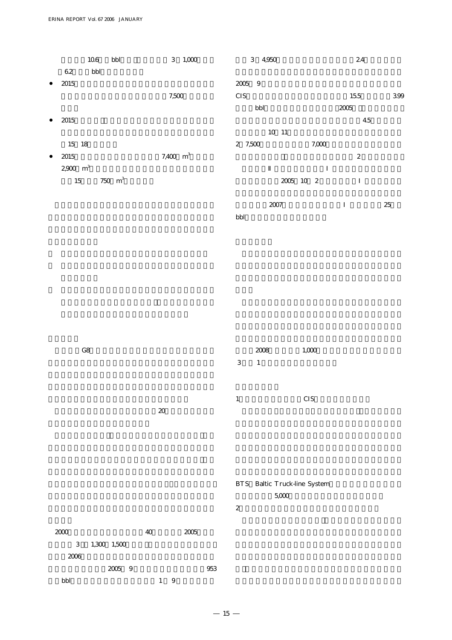|                               | 10.6 | bbl       | $3 - 1,000$ | 3 4,950 |              |       | 24               |     |
|-------------------------------|------|-----------|-------------|---------|--------------|-------|------------------|-----|
| 62                            | bbl  |           |             |         |              |       |                  |     |
| 2015                          |      |           |             | 2005 9  |              |       |                  |     |
|                               |      |           | 7,500       | CIS     |              |       | 15.5             | 399 |
|                               |      |           |             | bbl     |              |       | 2005             |     |
| 2015                          |      |           |             |         |              |       | 4.5              |     |
|                               |      |           |             |         | $10\quad 11$ |       |                  |     |
| 15 18                         |      |           |             | 2 7,500 |              | 7,000 |                  |     |
| 2015                          |      |           | 7,400 $m^3$ |         |              |       | $\boldsymbol{2}$ |     |
| $2,900$ $\,$ $\mathrm{m}^{3}$ |      |           |             |         |              |       |                  |     |
| 15                            |      | 750 $m^3$ |             |         | 2005 10 2    |       |                  |     |
|                               |      |           |             |         |              |       |                  |     |

|     | 2007 | 25 |
|-----|------|----|
| bbl |      |    |

| G8 |    | 3 | 2008<br>$\overline{1}$ | 1,000      |
|----|----|---|------------------------|------------|
|    |    |   |                        |            |
|    | 20 | 1 |                        | <b>CIS</b> |

|          |             |    |      | BTS Baltic Truck-line System |
|----------|-------------|----|------|------------------------------|
|          |             |    |      | 5,000                        |
|          |             |    |      | 2                            |
|          |             |    |      |                              |
| $\infty$ |             | 40 | 2005 |                              |
| 3        | 1,300 1,500 |    |      |                              |
| 2008     |             |    |      |                              |

量にほぼ相当する。2005年 9 月、ロシアの石油会社は953 万/bbl/日の生産量をあげていた。 1 ~ 9 月の原油生産

 $2000$ 

これは2006年に予定されている鉄道による対中国原油輸出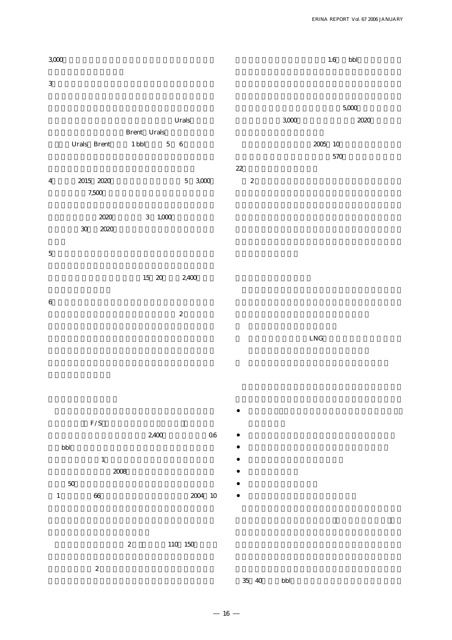$3000$  $3$ Urals Brent Urals Urals Brent 1 bbl 5 6 4 2015 2020 5 3,000 7,500  $2020$  3  $1,000$ 30 2020  $5$ 15 20 2,400  $6$  $\sim$  2  $F/S$  $1.6$  bbl  $5,000$  $3,000$  2020 2005 10  $570$ 22  $2$  $L<sub>N</sub>G$ 

ト~スコヴォロディノ区間(全長2,400キロ、輸送能力0.6  $\text{bbl}$ невности  $1$  $2008$  $50$ 1 66 2004 10

2 110 150

 $\sim$  2  $\sim$ 

 $-16-$ 

35<sup> $40$ </sup> bbl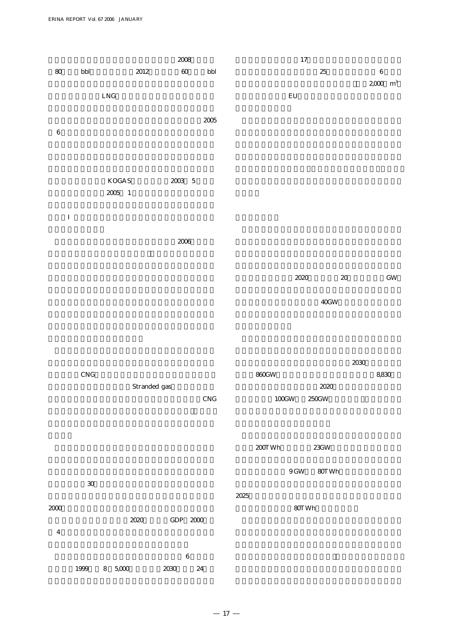|         |                      |               | $2008\,$      |              | $17\,$            |                 |        |                              |
|---------|----------------------|---------------|---------------|--------------|-------------------|-----------------|--------|------------------------------|
| $80\,$  | $\operatorname{bbl}$ | $2012\,$      | $60\,$        | $_{\rm bbl}$ |                   | $25\,$          |        | $\,6\,$<br>$2000\,{\rm m}^3$ |
|         |                      | ${\rm LNG}$   |               |              | $\mathop{\rm EU}$ |                 |        |                              |
|         |                      |               |               | $2005\,$     |                   |                 |        |                              |
| $\,6\,$ |                      |               |               |              |                   |                 |        |                              |
|         |                      |               |               |              |                   |                 |        |                              |
|         |                      |               |               |              |                   |                 |        |                              |
|         |                      | $\rm KOGAS$   | $2003\quad 5$ |              |                   |                 |        |                              |
|         |                      | $2005\quad 1$ |               |              |                   |                 |        |                              |
|         |                      |               |               |              |                   |                 |        |                              |
|         |                      |               |               |              |                   |                 |        |                              |
|         |                      |               | $2006\,$      |              |                   |                 |        |                              |
|         |                      |               |               |              |                   |                 |        |                              |
|         |                      |               |               |              | 2020              |                 | $2\!0$ | $\operatorname{GW}$          |
|         |                      |               |               |              |                   |                 |        |                              |
|         |                      |               |               |              |                   | $40\mathrm{GW}$ |        |                              |

|       | 2030  |
|-------|-------|
| 860GW | 8,830 |

| 860GW             | 8,830 |
|-------------------|-------|
| 2020              |       |
| $100$ GW<br>250GW |       |
|                   |       |

| 200T Wh | 23GW |
|---------|------|

 $30$ 2000 $\blacksquare$ 2020 GDP 2000  $9\,\mathrm{GW}$   $80\mathrm{TWh}$  $2025$ 80TWh

 $4$  $6$  $1999 \t 8 \t 5,000 \t 2030 \t 24$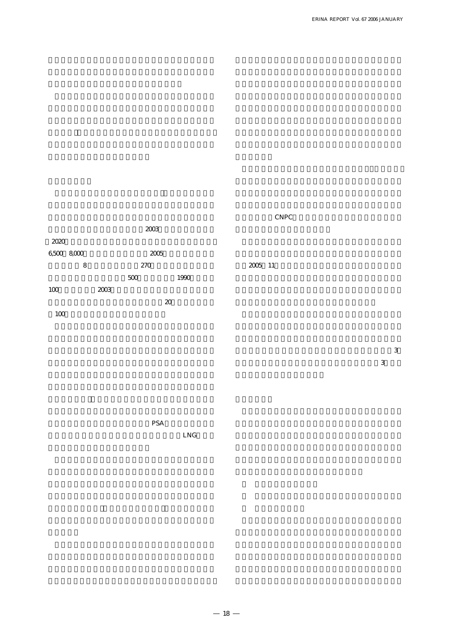# $2003$  $2020$ 6,500  $8,000$  2005  $8$  270  $500 \qquad \qquad 1990$ 100 2003  $\alpha$  $100$ CNPC<sup>)</sup> 2005 11

 $\sim$  13  $3<sub>3</sub>$ 

PSA

LNG